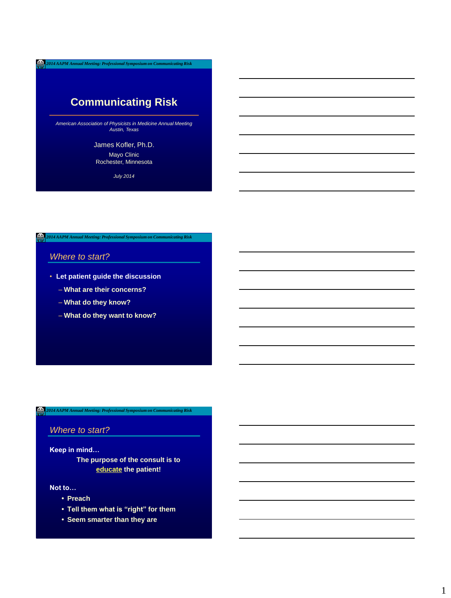# **Communicating Risk**

*American Association of Physicists in Medicine Annual Meeting Austin, Texas*

# James Kofler, Ph.D.

Mayo Clinic Rochester, Minnesota

*July 2014*

*2014 AAPM Annual Meeting: Professional Symposium on Communicating Risk*

# *Where to start?*

- **Let patient guide the discussion**
	- **What are their concerns?**
	- **What do they know?**
	- **What do they want to know?**

#### *2014 AAPM Annual Meeting: Professional Symposium on Communicating Risk* Δ.

# *Where to start?*

### **Keep in mind…**

**The purpose of the consult is to educate the patient!**

### **Not to…**

- **• Preach**
- **• Tell them what is "right" for them**
- **• Seem smarter than they are**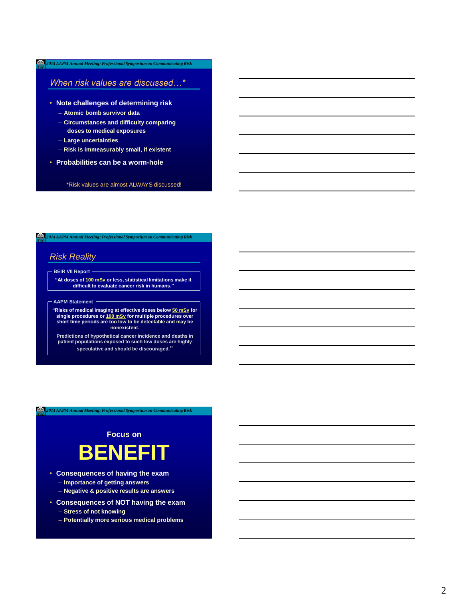# *When risk values are discussed…\**

- **Note challenges of determining risk**
	- **Atomic bomb survivor data**
	- **Circumstances and difficulty comparing doses to medical exposures**
	- **Large uncertainties**
	- **Risk is immeasurably small, if existent**
- **Probabilities can be a worm-hole**

### \*Risk values are almost ALWAYS discussed!

# *2014 AAPM Annual Meeting: Professional Symposium on Communicating Risk*

# *Risk Reality*

 **BEIR VII Report**

**"At doses of 100 mSv or less, statistical limitations make it difficult to evaluate cancer risk in humans."**

### **AAPM Statement**

**"Risks of medical imaging at effective doses below 50 mSv for single procedures or 100 mSv for multiple procedures over short time periods are too low to be detectable and may be nonexistent.**

**Predictions of hypothetical cancer incidence and deaths in patient populations exposed to such low doses are highly speculative and should be discouraged."**

#### *2014 AAPM Annual Meeting: Professional Symposium on Communicating Risk* Δ.

**Focus on BENEFIT**

- **Consequences of having the exam**
	- **Importance of getting answers**
	- **Negative & positive results are answers**
- **Consequences of NOT having the exam**
	- **Stress of not knowing**
	- **Potentially more serious medical problems**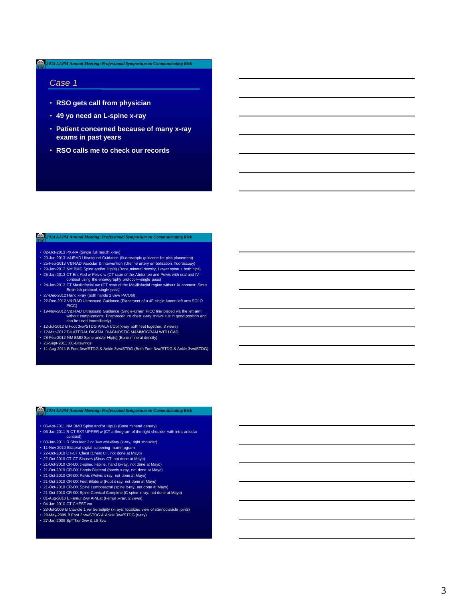### *Case 1*

- **RSO gets call from physician**
- **49 yo need an L-spine x-ray**
- **Patient concerned because of many x-ray exams in past years**
- **RSO calls me to check our records**

### *2014 AAPM Annual Meeting: Professional Symposium on Communicating Risk*

- 02-Oct-2013 PX-NA (Single full mouth x-ray)
- 20-Jun-2013 V&IRAD Ultrasound Guidance (fluoroscopic guidance for picc placement)
- 25-Feb-2013 V&IRAD Vascular & Intervention (Uterine artery embolization, fluoroscopy) 29-Jan-2013 NM BMD Spine and/or Hip(s) (Bone mineral density, Lower spine + both hips)
- 
- 25-Jan-2013 CT Ent Abd w-Pelvis w (CT scan of the Abdomen and Pelvis with oral and IV<br>- Contrast using the enterography protocol—single pass)<br>• 24-Jan-2013 CT Maxillofacial wo (CT scan of the Maxillofacial region withou
- Brain lab protocol, single pass) 27-Dec-2012 Hand x-ray (both hands 2 view PA/Obl)
- 22-Dec-2012 V&IRAD Ultrasound Guidance (Placement of a 4F single lumen left arm SOLO PICC)
- 19-Nov-2012 V&IRAD Ultrasound Guidance (Single-lumen PICC line placed via the left arm without complications. Postprocedure chest x-ray shows it is in good position and can be used immediately)
- 12-Jul-2012 B Foot 3vw/STDG AP/LAT/Obl (x-ray both feet together, 3 views) 12-Mar-2012 BILATERAL DIGITAL DIAGNOSTIC MAMMOGRAM WITH CAD
- 
- 28-Feb-2012 NM BMD Spine and/or Hip(s) (Bone mineral density)
- 
- 26-Sept-2011 XC-Bitewings 11-Aug-2011 B Foot 3vw/STDG & Ankle 3vw/STDG (Both Foot 3vw/STDG & Ankle 3vw/STDG)

### *2014 AAPM Annual Meeting: Professional Symposium on Communicating Risk*

- 
- 06-Apr-2011 NM BMD Spine and/or Hip(s) (Bone mineral density) 06-Jan-2011 R CT EXT UPPER w (CT arthrogram of the right shoulder with intra-articular contrast)
- 03-Jan-2011 R Shoulder 2 or 3vw w/Axillary (x-ray, right shoulder)
- 11-Nov-2010 Bilateral digital screening mammogram 22-Oct-2010 CT-CT Chest (Chest CT, not done at Mayo)
- 
- 22-Oct-2010 CT-CT Sinuses (Sinus CT, not done at Mayo)
- 21-Oct-2010 CR-DX c-spine, l-spine, hand (x-ray, not done at Mayo)
- 21-Oct-2010 CR-DX Hands Bilateral (hands x-ray, not done at Mayo)
- 21-Oct-2010 CR-DX Pelvis (Pelvis x-ray, not done at Mayo)
- 
- 21-Oct-2010 CR-DX Feet Bilateral (Foot x-ray, not done at Mayo) 21-Oct-2010 CR-DX Spine Lumbosacral (spine x-ray, not done at Mayo) 21-Oct-2010 CR-DX Spine Cervical Complete (C-spine x-ray, not done at Mayo)
- 
- 01-Aug-2010 L Femur 2vw AP/Lat (Femur x-ray, 2 views)
- 04-Jan-2010 CT CHEST wo
- 28-Jul-2009 B Clavicle 1 vw Seredipity (x-rays, localized view of sternoclavicle joints) 29-May-2009 B Foot 3 vw/STDG & Ankle 3vw/STDG (x-ray)
- 
- 27-Jan-2009 Sp\*Thor 2vw & LS 3vw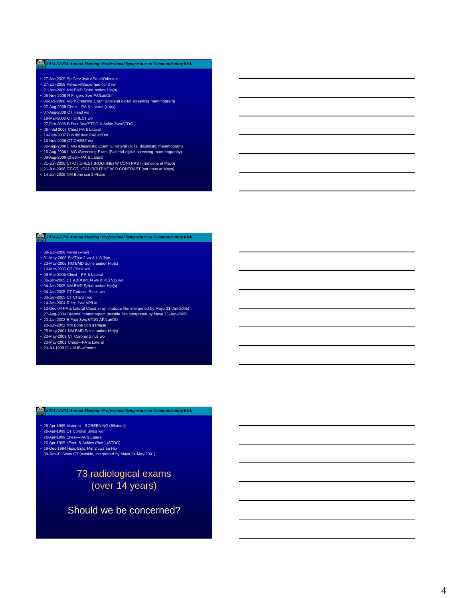- 27-Jan-2009 Sp Cerv 3vw AP/Lat/Odontoid
- 27-Jan-2009 Pelvis w/Sacro-lliac obl 3 vw
- 21-Jan-2009 NM BMD Spine and/or Hip(s)
- 25-Nov-2008 R Fingers 3vw PA/Lat/Obl
- 06-Oct-2008 MG /Screening Exam (Bilateral digital screening mammogram)
- 07-Aug-2008 Chest—PA & Lateral (x-ray) 07-Aug-2008 CT Head wo
- 19-Mar-2008 CT CHEST wo
- 27-Feb-2008 B Foot 3vw/STDG & Ankle 3vw/STDG
- 06-Jul-2007 Chest PA & Lateral
- 14-Feb-2007 B Wrist 4vw PA/Lat/Obl
- 13-Nov-2006 CT CHEST wo
- 
- 06-Sep-2006 L MG /Diagnostic Exam (Unilateral digital diagnostic mammogram) 16-Aug-2006 L MG /Screening Exam (Bilateral digital screening mammography) 09-Aug-2006 Chest—PA & Lateral
- 
- 21-Jun-2006 CT-CT CHEST (ROUTINE) W CONTRAST (not done at Mayo)
- 21-Jun-2006 CT-CT HEAD ROUTINE W O CONTRAST (not done at Mayo)
- 14-Jun-2006 NM Bone scn 3 Phase

# *2014 AAPM Annual Meeting: Professional Symposium on Communicating Risk*

- 
- 09-Jun-2006 Pelvis (x-ray) 31-May-2006 Sp\*Thor 2 vw & L S 3vw 23-May-2006 NM BMD Spine and/or Hip(s) 10-Mar-2005 CT Chest wo
- 
- 
- 09-Mar-2005 Chest—PA & Lateral 06-Jan-2005 CT ABDOMEN we & PELVIS wo
- 
- 04-Jan-2005 NM BMD Spine and/or Hip(s) • 04-Jan-2005 CT Coronal Sinus wo
- 
- 03-Jan-2005 CT CHEST wo
- 14-Jan-2004 R Hip 2vw AP/Lat
- 13-Dec-04 PA & Lateral Chest x-ray (outside film interpreted by Mayo 11-Jan-2005)
- 27-Aug-2004 Bilateral mammogram (outside film interpreted by Mayo 11-Jan-2005) 20-Jan-2002 B Foot 3vw/STDG AP/Lat/Obl
- 
- 20-Jun-2002 NM Bone Scn 3 Phase
- 25-May-2001 NM BMD Spine and/or Hip(s)
- 
- 23-May-2001 CT Coronal Sinus wo 23-May-2001 Chest—PA & Lateral 20-Jul-1999 GU-KUB w/tomos
- 

# *2014 AAPM Annual Meeting: Professional Symposium on Communicating Risk*

- 26-Apr-1999 Mammo SCREENING (Bilateral)
- 26-Apr-1999 CT Coronal Sinus wo
- 26-Apr-1999 Chest—PA & Lateral
- 26-Apr-1999 zFeet -& Ankles (Both) (STDG)
- 19-Dec-1994 Hips, Bilat, Min 2 vws ea Hip
- 09-Jan-01 Sinus CT (outside, interpreted by Mayo 24-May-2001)

# 73 radiological exams (over 14 years)

# Should we be concerned?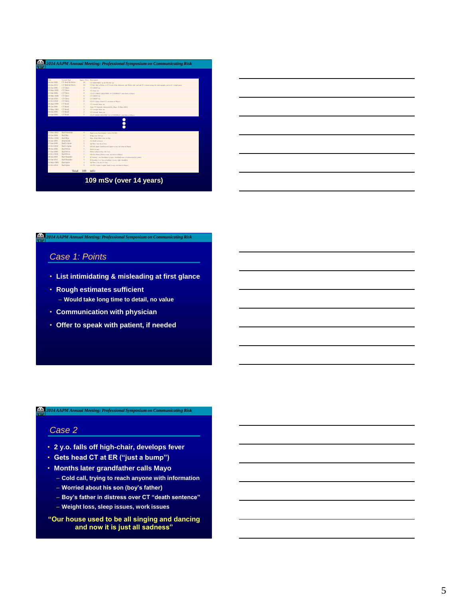| Date                       | General Type                |                                                                                                                                                                                                                                                                                                                                                                                                                                                               | Arrest Dose Description                                                                                                       |
|----------------------------|-----------------------------|---------------------------------------------------------------------------------------------------------------------------------------------------------------------------------------------------------------------------------------------------------------------------------------------------------------------------------------------------------------------------------------------------------------------------------------------------------------|-------------------------------------------------------------------------------------------------------------------------------|
| AC Iss. 2005               | CT Abd & Polyis             | 14                                                                                                                                                                                                                                                                                                                                                                                                                                                            | CT ARDOMEN TO & PELVIS TO                                                                                                     |
| 25-Jan-2013<br>03-Jan-2005 | CT Abd & Pelvis<br>CT Chevr | 14                                                                                                                                                                                                                                                                                                                                                                                                                                                            | CT Eat AM w-Pelvis w (CT scan of the Abdomen and Pelvis with oral and IV contrast using the entercepathy protocol-sizede must |
| 10-Mar-2005                | CT Chest                    | ó<br>ó                                                                                                                                                                                                                                                                                                                                                                                                                                                        | CT CHEST we<br>CT Chest no                                                                                                    |
| 21-Jan-2006                | CT Chevr                    | ó                                                                                                                                                                                                                                                                                                                                                                                                                                                             | CT-CT CHEST (ROUTINE) W CONTRAST (not done at Mayo)                                                                           |
| 10.Mar.2008                | CT Clear                    | ó                                                                                                                                                                                                                                                                                                                                                                                                                                                             | CT CHEST we                                                                                                                   |
| 04-Jan-2010                | CT Chest                    | ó                                                                                                                                                                                                                                                                                                                                                                                                                                                             | CT CHEST we                                                                                                                   |
| 22-Oct-2010                | CT Clear                    | ó                                                                                                                                                                                                                                                                                                                                                                                                                                                             | CT-CT Chest (Chest CT, not done at Mayo)                                                                                      |
| 26-Apr-1999                | CT Head                     | $\mathfrak{I}_{\mathcal{A}}$                                                                                                                                                                                                                                                                                                                                                                                                                                  | CT Coronal Sinus wo                                                                                                           |
| 09-Jan-2001                | CT Head                     | $\overline{2}$                                                                                                                                                                                                                                                                                                                                                                                                                                                | Sims CT (outside, interpreted by Mayo 24-May-2001)                                                                            |
| 23-May-2001                | CT Head                     | $\overline{z}$                                                                                                                                                                                                                                                                                                                                                                                                                                                | CT Coronal Sinus wo                                                                                                           |
| 04-Jan-2005                | CT Head                     | $\overline{z}$                                                                                                                                                                                                                                                                                                                                                                                                                                                | CT Cornell Sing and                                                                                                           |
| 21-Jan-2006                | CT Head                     | $\mathfrak{D}_{\mathbb{C}}^{\mathbb{C}}\left( \mathfrak{D}_{\mathbb{C}}\right) =\mathfrak{D}_{\mathbb{C}}^{\mathbb{C}}\left( \mathfrak{D}_{\mathbb{C}}\right) ^{\mathbb{C}}\left( \mathfrak{D}_{\mathbb{C}}\right) ^{\mathbb{C}}\left( \mathfrak{D}_{\mathbb{C}}\right) ^{\mathbb{C}}\left( \mathfrak{D}_{\mathbb{C}}\right) ^{\mathbb{C}}\left( \mathfrak{D}_{\mathbb{C}}\right) ^{\mathbb{C}}\left( \mathfrak{D}_{\mathbb{C}}\right) ^{\mathbb{C}}\left( \$ | CT-CT HEAD ROUTINE W O CONTRAST (not done at Mayo)                                                                            |
|                            |                             |                                                                                                                                                                                                                                                                                                                                                                                                                                                               |                                                                                                                               |
| 27-Dec-2012                | Rad Extremity               | $\circ$                                                                                                                                                                                                                                                                                                                                                                                                                                                       | Band x-ray (both hands 2 view PA/ON)                                                                                          |
| 14-Jan-2004                | Rad Hip                     | ×.                                                                                                                                                                                                                                                                                                                                                                                                                                                            | R He 2ve APLa                                                                                                                 |
| 10. Dec. 100.0             | Rad Hirs                    |                                                                                                                                                                                                                                                                                                                                                                                                                                                               | Hips, Bilg, Min 2 yes on Hip-                                                                                                 |
| 20-Jul-1999                | <b>RAD KUB</b>              |                                                                                                                                                                                                                                                                                                                                                                                                                                                               | GU-KUR whomes                                                                                                                 |
| 27-Jan-2009                | Rad L-Spine                 |                                                                                                                                                                                                                                                                                                                                                                                                                                                               | So*Ther 2ow & LS 2ow                                                                                                          |
| 21-Oct-2010                | Rad L-Snine                 |                                                                                                                                                                                                                                                                                                                                                                                                                                                               | CR-DX Spine Lumbosacral (spine x-ray, not done at Mayo)                                                                       |
| 09-Jan-2006                | <b>Rud Polyin</b>           |                                                                                                                                                                                                                                                                                                                                                                                                                                                               | Pelvis (x-pa)                                                                                                                 |
| 27-Jan-2009                | Rad Pelvis                  |                                                                                                                                                                                                                                                                                                                                                                                                                                                               | Pelvis w/Sacro-Eiac obl 3 yrs                                                                                                 |
| 21-Oct-2010                | Rad Pelvis                  |                                                                                                                                                                                                                                                                                                                                                                                                                                                               | CR-DX Public (Public x-ray, not done at Mayo)                                                                                 |
| 28.1-L2000                 | <b>Rud Shoulder</b>         |                                                                                                                                                                                                                                                                                                                                                                                                                                                               | B Clasicia 1 yw Seredinity (x-rays, localized view of starnoclasicle joints)                                                  |
| 03-Jan-2011                | Rad Shoulder                |                                                                                                                                                                                                                                                                                                                                                                                                                                                               | R Shoulder 2 or Jow w/Asillary (weay, right shoulder)                                                                         |
| 31-May-2006                | Rad Spine                   |                                                                                                                                                                                                                                                                                                                                                                                                                                                               | So*Ther 2 vw & L S 2 vw                                                                                                       |
| 21-Oct-2010                | Rad Spine                   | ×.                                                                                                                                                                                                                                                                                                                                                                                                                                                            | CR-DX c-spins, 1-spins, hand (x-ray, not done at Mayo).                                                                       |

| <u> 1989 - Johann Stoff, deutscher Stoff, der Stoff, der Stoff, der Stoff, der Stoff, der Stoff, der Stoff, der S</u> |  |        |
|-----------------------------------------------------------------------------------------------------------------------|--|--------|
| <u> 1989 - Johann Stoff, Amerikaansk politiker (* 1908)</u>                                                           |  |        |
|                                                                                                                       |  |        |
|                                                                                                                       |  |        |
| <u> 1980 - Andrea Station Barbara, actor a component de la componentación de la componentación de la componentaci</u> |  |        |
|                                                                                                                       |  | $\sim$ |
|                                                                                                                       |  |        |

# *Case 1: Points*

- **List intimidating & misleading at first glance**
- **Rough estimates sufficient** – **Would take long time to detail, no value**
- **Communication with physician**
- **Offer to speak with patient, if needed**

# *2014 AAPM Annual Meeting: Professional Symposium on Communicating Risk*

# *Case 2*

- **2 y.o. falls off high-chair, develops fever**
- **Gets head CT at ER ("just a bump")**
- **Months later grandfather calls Mayo**
	- **Cold call, trying to reach anyone with information**
	- **Worried about his son (boy's father)**
	- **Boy's father in distress over CT "death sentence"**
	- **Weight loss, sleep issues, work issues**
- **"Our house used to be all singing and dancing and now it is just all sadness"**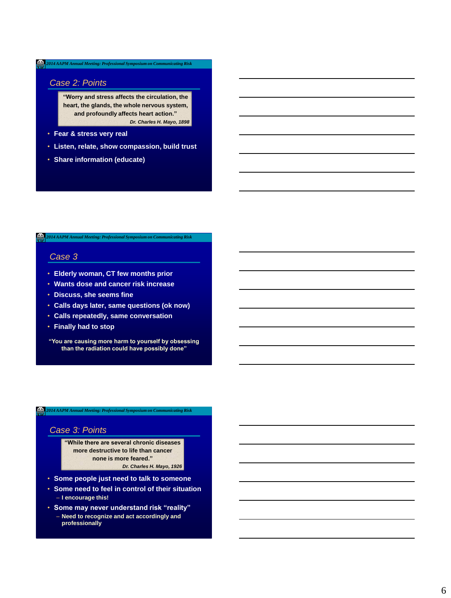# *Case 2: Points*

**"Worry and stress affects the circulation, the heart, the glands, the whole nervous system, and profoundly affects heart action."** *Dr. Charles H. Mayo, 1898*

- **Fear & stress very real**
- **Listen, relate, show compassion, build trust**
- **Share information (educate)**

*2014 AAPM Annual Meeting: Professional Symposium on Communicating Risk*

# *Case 3*

- **Elderly woman, CT few months prior**
- **Wants dose and cancer risk increase**
- **Discuss, she seems fine**
- **Calls days later, same questions (ok now)**
- **Calls repeatedly, same conversation**
- **Finally had to stop**

**"You are causing more harm to yourself by obsessing than the radiation could have possibly done"**

### *2014 AAPM Annual Meeting: Professional Symposium on Communicating Risk*

### *Case 3: Points*

**"While there are several chronic diseases more destructive to life than cancer none is more feared."** *Dr. Charles H. Mayo, 1926*

- **Some people just need to talk to someone**
- **Some need to feel in control of their situation** – **I encourage this!**
- **Some may never understand risk "reality"** – **Need to recognize and act accordingly and professionally**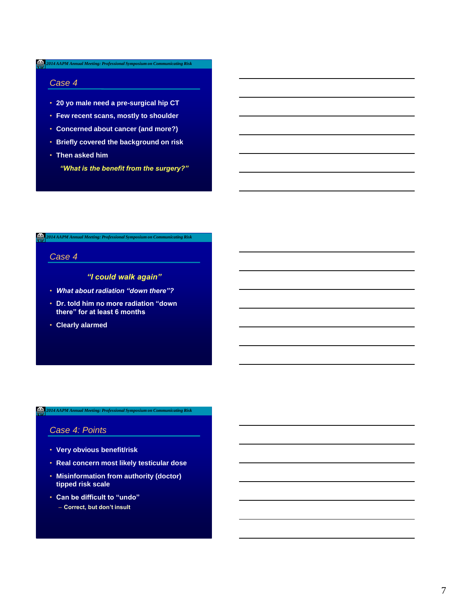### *Case 4*

- **20 yo male need a pre-surgical hip CT**
- **Few recent scans, mostly to shoulder**
- **Concerned about cancer (and more?)**
- **Briefly covered the background on risk**
- **Then asked him**
	- *"What is the benefit from the surgery?"*

*2014 AAPM Annual Meeting: Professional Symposium on Communicating Risk*

# *Case 4*

# *"I could walk again"*

- *What about radiation "down there"?*
- **Dr. told him no more radiation "down there" for at least 6 months**
- **Clearly alarmed**

# *2014 AAPM Annual Meeting: Professional Symposium on Communicating Risk*

# *Case 4: Points*

- **Very obvious benefit/risk**
- **Real concern most likely testicular dose**
- **Misinformation from authority (doctor) tipped risk scale**
- **Can be difficult to "undo"** – **Correct, but don't insult**